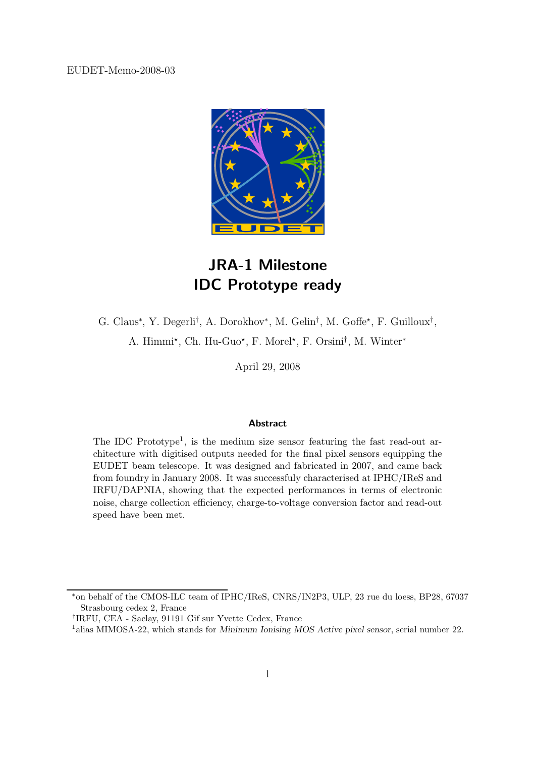EUDET-Memo-2008-03



# JRA-1 Milestone IDC Prototype ready

G. Claus<sup>\*</sup>, Y. Degerli<sup>†</sup>, A. Dorokhov<sup>\*</sup>, M. Gelin<sup>†</sup>, M. Goffe<sup>\*</sup>, F. Guilloux<sup>†</sup>, A. Himmi\*, Ch. Hu-Guo\*, F. Morel\*, F. Orsini<sup>†</sup>, M. Winter\*

April 29, 2008

#### Abstract

The IDC Prototype<sup>1</sup>, is the medium size sensor featuring the fast read-out architecture with digitised outputs needed for the final pixel sensors equipping the EUDET beam telescope. It was designed and fabricated in 2007, and came back from foundry in January 2008. It was successfuly characterised at IPHC/IReS and IRFU/DAPNIA, showing that the expected performances in terms of electronic noise, charge collection efficiency, charge-to-voltage conversion factor and read-out speed have been met.

<sup>∗</sup>on behalf of the CMOS-ILC team of IPHC/IReS, CNRS/IN2P3, ULP, 23 rue du loess, BP28, 67037 Strasbourg cedex 2, France

<sup>†</sup> IRFU, CEA - Saclay, 91191 Gif sur Yvette Cedex, France

<sup>&</sup>lt;sup>1</sup>alias MIMOSA-22, which stands for *Minimum Ionising MOS Active pixel sensor*, serial number 22.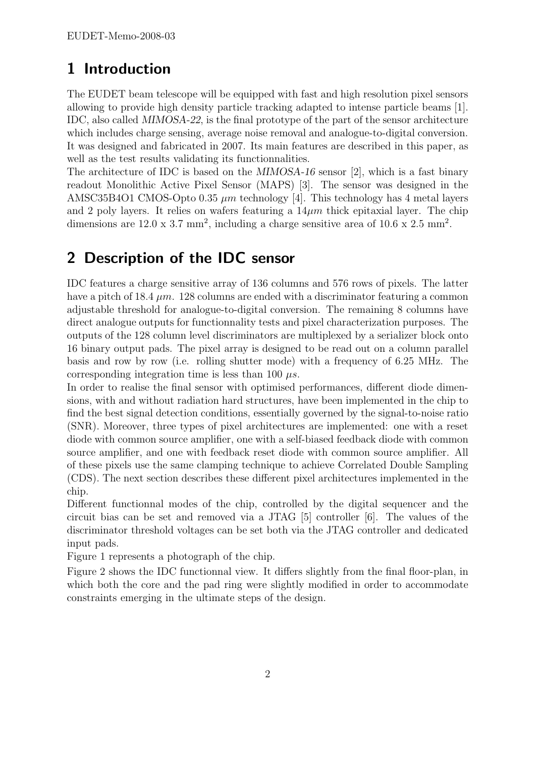# 1 Introduction

The EUDET beam telescope will be equipped with fast and high resolution pixel sensors allowing to provide high density particle tracking adapted to intense particle beams [1]. IDC, also called MIMOSA-22, is the final prototype of the part of the sensor architecture which includes charge sensing, average noise removal and analogue-to-digital conversion. It was designed and fabricated in 2007. Its main features are described in this paper, as well as the test results validating its functionnalities.

The architecture of IDC is based on the MIMOSA-16 sensor [2], which is a fast binary readout Monolithic Active Pixel Sensor (MAPS) [3]. The sensor was designed in the AMSC35B4O1 CMOS-Opto 0.35  $\mu$ m technology [4]. This technology has 4 metal layers and 2 poly layers. It relies on wafers featuring a  $14\mu m$  thick epitaxial layer. The chip dimensions are  $12.0 \times 3.7 \text{ mm}^2$ , including a charge sensitive area of  $10.6 \times 2.5 \text{ mm}^2$ .

# 2 Description of the IDC sensor

IDC features a charge sensitive array of 136 columns and 576 rows of pixels. The latter have a pitch of 18.4  $\mu$ m. 128 columns are ended with a discriminator featuring a common adjustable threshold for analogue-to-digital conversion. The remaining 8 columns have direct analogue outputs for functionnality tests and pixel characterization purposes. The outputs of the 128 column level discriminators are multiplexed by a serializer block onto 16 binary output pads. The pixel array is designed to be read out on a column parallel basis and row by row (i.e. rolling shutter mode) with a frequency of 6.25 MHz. The corresponding integration time is less than 100  $\mu s$ .

In order to realise the final sensor with optimised performances, different diode dimensions, with and without radiation hard structures, have been implemented in the chip to find the best signal detection conditions, essentially governed by the signal-to-noise ratio (SNR). Moreover, three types of pixel architectures are implemented: one with a reset diode with common source amplifier, one with a self-biased feedback diode with common source amplifier, and one with feedback reset diode with common source amplifier. All of these pixels use the same clamping technique to achieve Correlated Double Sampling (CDS). The next section describes these different pixel architectures implemented in the chip.

Different functionnal modes of the chip, controlled by the digital sequencer and the circuit bias can be set and removed via a JTAG [5] controller [6]. The values of the discriminator threshold voltages can be set both via the JTAG controller and dedicated input pads.

Figure 1 represents a photograph of the chip.

Figure 2 shows the IDC functionnal view. It differs slightly from the final floor-plan, in which both the core and the pad ring were slightly modified in order to accommodate constraints emerging in the ultimate steps of the design.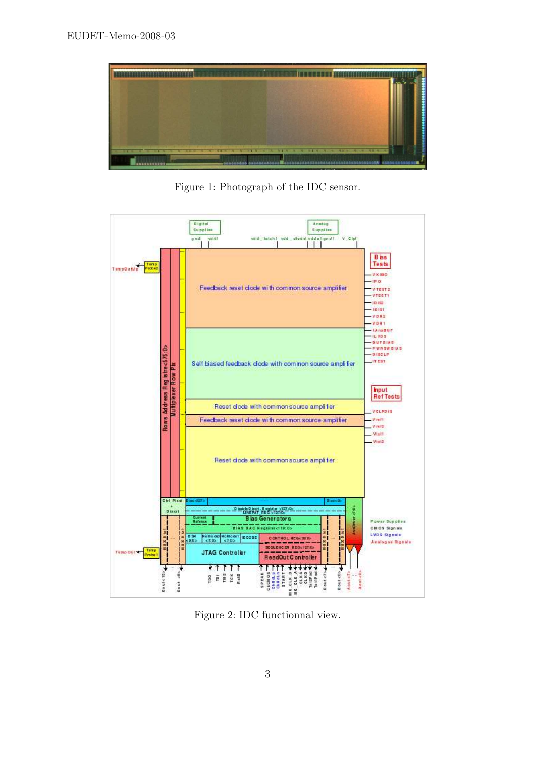

Figure 1: Photograph of the IDC sensor.



Figure 2: IDC functionnal view.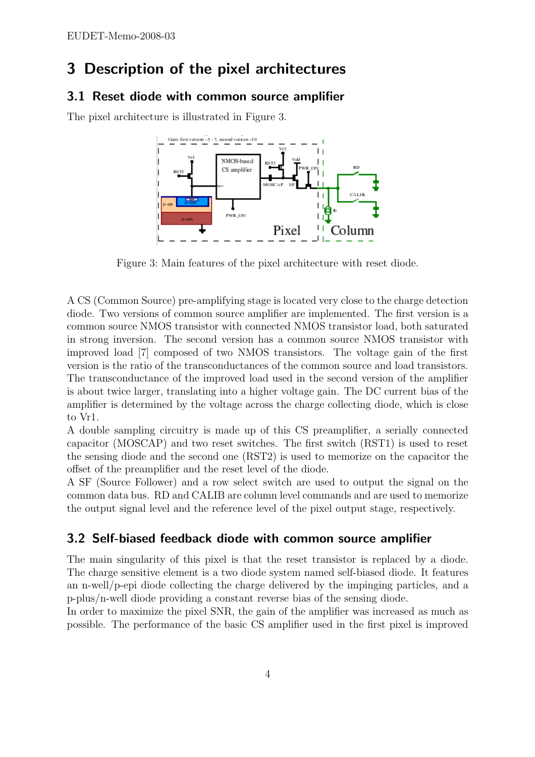# 3 Description of the pixel architectures

#### 3.1 Reset diode with common source amplifier

The pixel architecture is illustrated in Figure 3.



Figure 3: Main features of the pixel architecture with reset diode.

A CS (Common Source) pre-amplifying stage is located very close to the charge detection diode. Two versions of common source amplifier are implemented. The first version is a common source NMOS transistor with connected NMOS transistor load, both saturated in strong inversion. The second version has a common source NMOS transistor with improved load [7] composed of two NMOS transistors. The voltage gain of the first version is the ratio of the transconductances of the common source and load transistors. The transconductance of the improved load used in the second version of the amplifier is about twice larger, translating into a higher voltage gain. The DC current bias of the amplifier is determined by the voltage across the charge collecting diode, which is close to Vr1.

A double sampling circuitry is made up of this CS preamplifier, a serially connected capacitor (MOSCAP) and two reset switches. The first switch (RST1) is used to reset the sensing diode and the second one (RST2) is used to memorize on the capacitor the offset of the preamplifier and the reset level of the diode.

A SF (Source Follower) and a row select switch are used to output the signal on the common data bus. RD and CALIB are column level commands and are used to memorize the output signal level and the reference level of the pixel output stage, respectively.

#### 3.2 Self-biased feedback diode with common source amplifier

The main singularity of this pixel is that the reset transistor is replaced by a diode. The charge sensitive element is a two diode system named self-biased diode. It features an n-well/p-epi diode collecting the charge delivered by the impinging particles, and a p-plus/n-well diode providing a constant reverse bias of the sensing diode.

In order to maximize the pixel SNR, the gain of the amplifier was increased as much as possible. The performance of the basic CS amplifier used in the first pixel is improved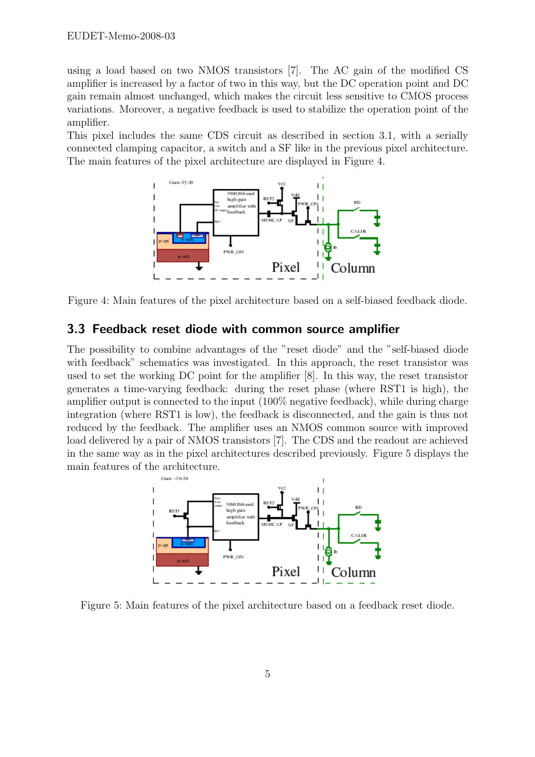using a load based on two NMOS transistors [7]. The AC gain of the modified CS amplifier is increased by a factor of two in this way, but the DC operation point and DC gain remain almost unchanged, which makes the circuit less sensitive to CMOS process variations. Moreover, a negative feedback is used to stabilize the operation point of the amplifier.

This pixel includes the same CDS circuit as described in section 3.1, with a serially connected clamping capacitor, a switch and a SF like in the previous pixel architecture. The main features of the pixel architecture are displayed in Figure 4.



Figure 4: Main features of the pixel architecture based on a self-biased feedback diode.

#### 3.3 Feedback reset diode with common source amplifier

The possibility to combine advantages of the "reset diode" and the "self-biased diode with feedback" schematics was investigated. In this approach, the reset transistor was used to set the working DC point for the amplifier [8]. In this way, the reset transistor generates a time-varying feedback: during the reset phase (where RST1 is high), the amplifier output is connected to the input (100% negative feedback), while during charge integration (where RST1 is low), the feedback is disconnected, and the gain is thus not reduced by the feedback. The amplifier uses an NMOS common source with improved load delivered by a pair of NMOS transistors [7]. The CDS and the readout are achieved in the same way as in the pixel architectures described previously. Figure 5 displays the main features of the architecture.



Figure 5: Main features of the pixel architecture based on a feedback reset diode.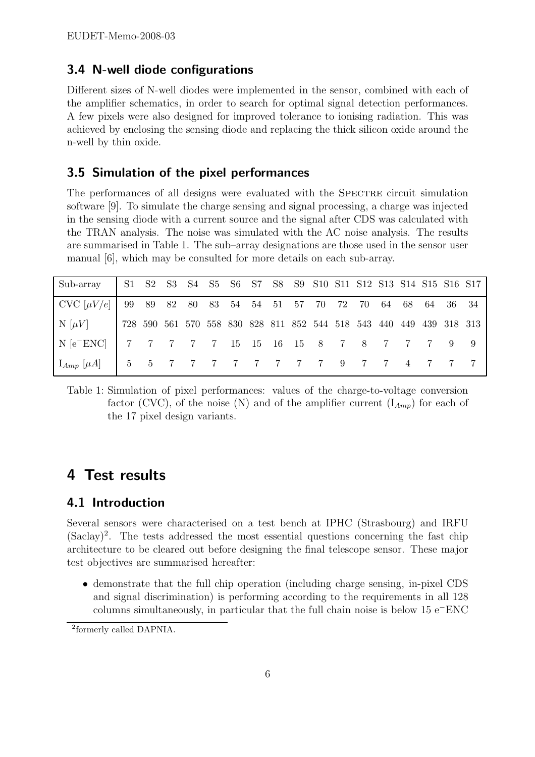#### 3.4 N-well diode configurations

Different sizes of N-well diodes were implemented in the sensor, combined with each of the amplifier schematics, in order to search for optimal signal detection performances. A few pixels were also designed for improved tolerance to ionising radiation. This was achieved by enclosing the sensing diode and replacing the thick silicon oxide around the n-well by thin oxide.

### 3.5 Simulation of the pixel performances

The performances of all designs were evaluated with the SPECTRE circuit simulation software [9]. To simulate the charge sensing and signal processing, a charge was injected in the sensing diode with a current source and the signal after CDS was calculated with the TRAN analysis. The noise was simulated with the AC noise analysis. The results are summarised in Table 1. The sub–array designations are those used in the sensor user manual [6], which may be consulted for more details on each sub-array.

| Sub-array                                                                              |  |  |  |  |  |  |  |                                       | S1 S2 S3 S4 S5 S6 S7 S8 S9 S10 S11 S12 S13 S14 S15 S16 S17          |
|----------------------------------------------------------------------------------------|--|--|--|--|--|--|--|---------------------------------------|---------------------------------------------------------------------|
| $\vert$ CVC $\vert \mu V/e \vert$   99 89 82 80 83 54 54 51 57 70 72 70 64 68 64 36 34 |  |  |  |  |  |  |  |                                       |                                                                     |
| $\lfloor N \lfloor \mu V \rfloor \rfloor$                                              |  |  |  |  |  |  |  |                                       | 728 590 561 570 558 830 828 811 852 544 518 543 440 449 439 318 313 |
| $N$ [e <sup>-</sup> ENC]                                                               |  |  |  |  |  |  |  | 7 7 7 7 7 15 15 16 15 8 7 8 7 7 7 9 9 |                                                                     |
| $I_{Amp}$ [ $\mu A$ ]                                                                  |  |  |  |  |  |  |  |                                       | 5 5 7 7 7 7 7 7 7 7 9 7 7 4 7 7 7                                   |

Table 1: Simulation of pixel performances: values of the charge-to-voltage conversion factor (CVC), of the noise (N) and of the amplifier current  $(I_{Amp})$  for each of the 17 pixel design variants.

## 4 Test results

#### 4.1 Introduction

Several sensors were characterised on a test bench at IPHC (Strasbourg) and IRFU (Saclay)<sup>2</sup> . The tests addressed the most essential questions concerning the fast chip architecture to be cleared out before designing the final telescope sensor. These major test objectives are summarised hereafter:

• demonstrate that the full chip operation (including charge sensing, in-pixel CDS and signal discrimination) is performing according to the requirements in all 128 columns simultaneously, in particular that the full chain noise is below 15 e<sup>−</sup>ENC

<sup>2</sup> formerly called DAPNIA.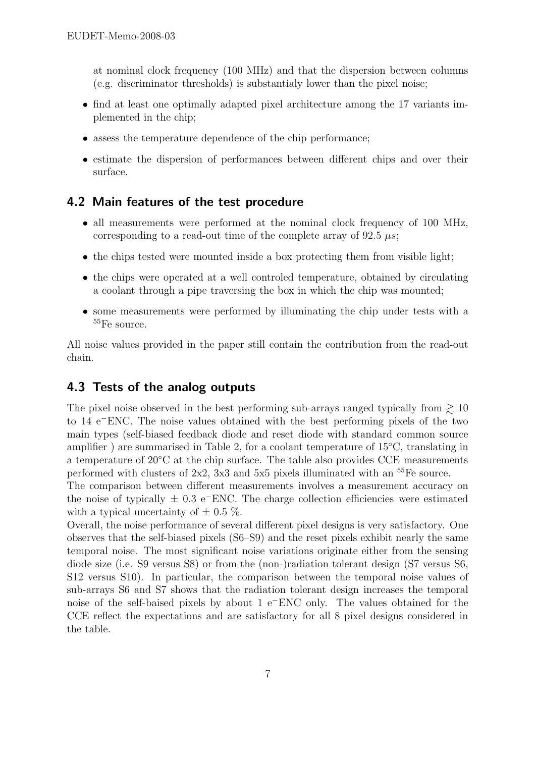at nominal clock frequency (100 MHz) and that the dispersion between columns (e.g. discriminator thresholds) is substantialy lower than the pixel noise;

- find at least one optimally adapted pixel architecture among the 17 variants implemented in the chip;
- assess the temperature dependence of the chip performance;
- estimate the dispersion of performances between different chips and over their surface.

#### 4.2 Main features of the test procedure

- all measurements were performed at the nominal clock frequency of 100 MHz, corresponding to a read-out time of the complete array of  $92.5 \mu s$ ;
- the chips tested were mounted inside a box protecting them from visible light;
- the chips were operated at a well controled temperature, obtained by circulating a coolant through a pipe traversing the box in which the chip was mounted;
- some measurements were performed by illuminating the chip under tests with a <sup>55</sup>Fe source.

All noise values provided in the paper still contain the contribution from the read-out chain.

### 4.3 Tests of the analog outputs

The pixel noise observed in the best performing sub-arrays ranged typically from  $\gtrsim 10$ to 14 e<sup>−</sup>ENC. The noise values obtained with the best performing pixels of the two main types (self-biased feedback diode and reset diode with standard common source amplifier ) are summarised in Table 2, for a coolant temperature of 15◦C, translating in a temperature of 20◦C at the chip surface. The table also provides CCE measurements performed with clusters of 2x2, 3x3 and 5x5 pixels illuminated with an <sup>55</sup>Fe source.

The comparison between different measurements involves a measurement accuracy on the noise of typically  $\pm$  0.3 e<sup>−</sup>ENC. The charge collection efficiencies were estimated with a typical uncertainty of  $\pm$  0.5 %.

Overall, the noise performance of several different pixel designs is very satisfactory. One observes that the self-biased pixels (S6–S9) and the reset pixels exhibit nearly the same temporal noise. The most significant noise variations originate either from the sensing diode size (i.e. S9 versus S8) or from the (non-)radiation tolerant design (S7 versus S6, S12 versus S10). In particular, the comparison between the temporal noise values of sub-arrays S6 and S7 shows that the radiation tolerant design increases the temporal noise of the self-baised pixels by about 1 e<sup>−</sup>ENC only. The values obtained for the CCE reflect the expectations and are satisfactory for all 8 pixel designs considered in the table.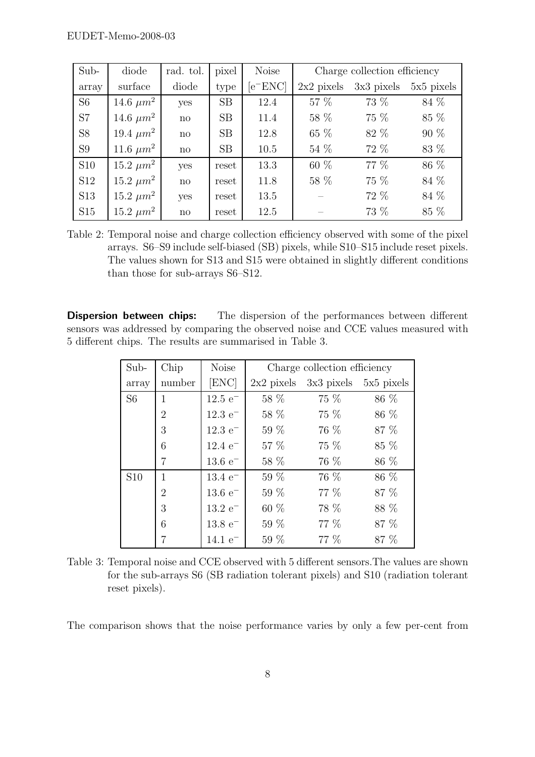| Sub-            | diode          | rad. tol.    | pixel | <b>Noise</b> | Charge collection efficiency |            |            |
|-----------------|----------------|--------------|-------|--------------|------------------------------|------------|------------|
| array           | surface        | diode        | type  | $[e^{-}ENC]$ | $2x2$ pixels                 | 3x3 pixels | 5x5 pixels |
| S <sub>6</sub>  | 14.6 $\mu m^2$ | yes          | SB    | 12.4         | 57 %                         | 73 %       | 84 %       |
| S7              | 14.6 $\mu m^2$ | no           | SB    | 11.4         | 58 %                         | 75 %       | 85 %       |
| <b>S8</b>       | 19.4 $\mu m^2$ | no           | SB    | 12.8         | 65 %                         | 82 %       | 90 %       |
| S <sub>9</sub>  | 11.6 $\mu m^2$ | $\mathbf{n}$ | SB    | 10.5         | 54 %                         | 72 %       | 83 %       |
| <b>S10</b>      | 15.2 $\mu m^2$ | yes          | reset | 13.3         | 60 %                         | 77 %       | 86 %       |
| S <sub>12</sub> | 15.2 $\mu m^2$ | no           | reset | 11.8         | 58 %                         | 75 %       | 84 %       |
| <b>S13</b>      | 15.2 $\mu m^2$ | yes          | reset | 13.5         |                              | 72 %       | 84 %       |
| <b>S15</b>      | 15.2 $\mu m^2$ | $\mathbf{n}$ | reset | 12.5         |                              | 73 %       | 85 %       |

Table 2: Temporal noise and charge collection efficiency observed with some of the pixel arrays. S6–S9 include self-biased (SB) pixels, while S10–S15 include reset pixels. The values shown for S13 and S15 were obtained in slightly different conditions than those for sub-arrays S6–S12.

**Dispersion between chips:** The dispersion of the performances between different sensors was addressed by comparing the observed noise and CCE values measured with 5 different chips. The results are summarised in Table 3.

| Sub-            | Chip           | <b>Noise</b> | Charge collection efficiency |              |            |  |  |
|-----------------|----------------|--------------|------------------------------|--------------|------------|--|--|
| array           | number         | [ENC]        | $2x2$ pixels                 | $3x3$ pixels | 5x5 pixels |  |  |
| S <sub>6</sub>  | 1              | $12.5 e^-$   | 58 %                         | 75 %         | 86 %       |  |  |
|                 | $\overline{2}$ | $12.3 e^-$   | 58 %                         | 75 %         | 86 %       |  |  |
|                 | 3              | $12.3 e^-$   | 59 %                         | 76 %         | 87 %       |  |  |
|                 | 6              | $12.4 e^-$   | 57 %                         | 75 %         | 85 %       |  |  |
|                 | 7              | $13.6 e^-$   | 58 %                         | 76 %         | 86 %       |  |  |
| S <sub>10</sub> | 1              | $13.4 e^-$   | 59 %                         | 76 %         | 86 %       |  |  |
|                 | $\overline{2}$ | $13.6 e^-$   | 59 %                         | 77 %         | 87 %       |  |  |
|                 | 3              | $13.2 e^-$   | 60 %                         | 78 %         | 88 %       |  |  |
|                 | 6              | $13.8 e^-$   | 59 %                         | 77 %         | 87 %       |  |  |
|                 |                | $14.1 e^-$   | 59 %                         | 77 %         | 87 %       |  |  |

Table 3: Temporal noise and CCE observed with 5 different sensors.The values are shown for the sub-arrays S6 (SB radiation tolerant pixels) and S10 (radiation tolerant reset pixels).

The comparison shows that the noise performance varies by only a few per-cent from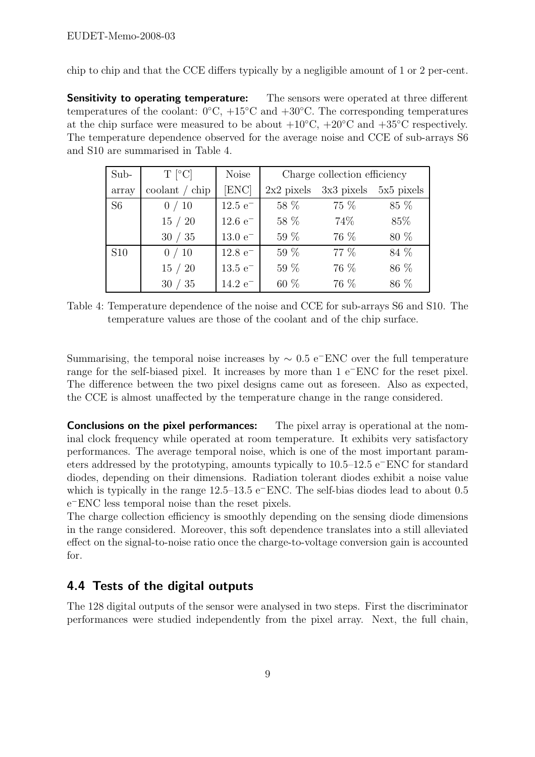chip to chip and that the CCE differs typically by a negligible amount of 1 or 2 per-cent.

**Sensitivity to operating temperature:** The sensors were operated at three different temperatures of the coolant:  $0°C$ ,  $+15°C$  and  $+30°C$ . The corresponding temperatures at the chip surface were measured to be about  $+10°C$ ,  $+20°C$  and  $+35°C$  respectively. The temperature dependence observed for the average noise and CCE of sub-arrays S6 and S10 are summarised in Table 4.

| Sub-           | $T$ [ $^{\circ}$ C]   | <b>Noise</b> | Charge collection efficiency |              |              |  |  |  |
|----------------|-----------------------|--------------|------------------------------|--------------|--------------|--|--|--|
| array          | coolant $\prime$ chip | [ENC]        | $2x2$ pixels                 | $3x3$ pixels | $5x5$ pixels |  |  |  |
| S <sub>6</sub> | 0/10                  | $12.5 e^-$   | 58 %                         | 75 %         | 85 %         |  |  |  |
|                | 15 / 20               | $12.6 e^-$   | 58 %                         | 74\%         | 85%          |  |  |  |
|                | 30 / 35               | $13.0 e^-$   | 59 %                         | 76 %         | 80 %         |  |  |  |
| <b>S10</b>     | 0/10                  | $12.8 e^-$   | 59 %                         | 77 %         | 84 %         |  |  |  |
|                | 15 / 20               | $13.5 e^-$   | 59 %                         | 76 %         | 86 %         |  |  |  |
|                | 30 / 35               | $14.2 e^-$   | 60 %                         | 76 %         | 86 %         |  |  |  |

Table 4: Temperature dependence of the noise and CCE for sub-arrays S6 and S10. The temperature values are those of the coolant and of the chip surface.

Summarising, the temporal noise increases by  $\sim 0.5$  e<sup>−</sup>ENC over the full temperature range for the self-biased pixel. It increases by more than 1 e<sup>−</sup>ENC for the reset pixel. The difference between the two pixel designs came out as foreseen. Also as expected, the CCE is almost unaffected by the temperature change in the range considered.

**Conclusions on the pixel performances:** The pixel array is operational at the nominal clock frequency while operated at room temperature. It exhibits very satisfactory performances. The average temporal noise, which is one of the most important parameters addressed by the prototyping, amounts typically to 10.5–12.5 e<sup>−</sup>ENC for standard diodes, depending on their dimensions. Radiation tolerant diodes exhibit a noise value which is typically in the range 12.5–13.5 e<sup>−</sup>ENC. The self-bias diodes lead to about 0.5 e <sup>−</sup>ENC less temporal noise than the reset pixels.

The charge collection efficiency is smoothly depending on the sensing diode dimensions in the range considered. Moreover, this soft dependence translates into a still alleviated effect on the signal-to-noise ratio once the charge-to-voltage conversion gain is accounted for.

#### 4.4 Tests of the digital outputs

The 128 digital outputs of the sensor were analysed in two steps. First the discriminator performances were studied independently from the pixel array. Next, the full chain,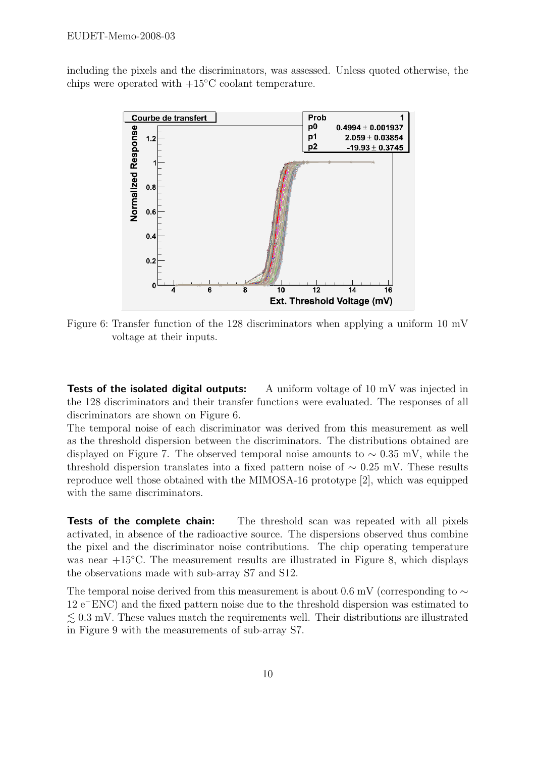including the pixels and the discriminators, was assessed. Unless quoted otherwise, the chips were operated with  $+15^{\circ}$ C coolant temperature.



Figure 6: Transfer function of the 128 discriminators when applying a uniform 10 mV voltage at their inputs.

**Tests of the isolated digital outputs:** A uniform voltage of 10 mV was injected in the 128 discriminators and their transfer functions were evaluated. The responses of all discriminators are shown on Figure 6.

The temporal noise of each discriminator was derived from this measurement as well as the threshold dispersion between the discriminators. The distributions obtained are displayed on Figure 7. The observed temporal noise amounts to  $\sim 0.35$  mV, while the threshold dispersion translates into a fixed pattern noise of ∼ 0.25 mV. These results reproduce well those obtained with the MIMOSA-16 prototype [2], which was equipped with the same discriminators.

Tests of the complete chain: The threshold scan was repeated with all pixels activated, in absence of the radioactive source. The dispersions observed thus combine the pixel and the discriminator noise contributions. The chip operating temperature was near  $+15^{\circ}$ C. The measurement results are illustrated in Figure 8, which displays the observations made with sub-array S7 and S12.

The temporal noise derived from this measurement is about 0.6 mV (corresponding to  $\sim$ 12 e<sup>−</sup>ENC) and the fixed pattern noise due to the threshold dispersion was estimated to  $\leq 0.3$  mV. These values match the requirements well. Their distributions are illustrated in Figure 9 with the measurements of sub-array S7.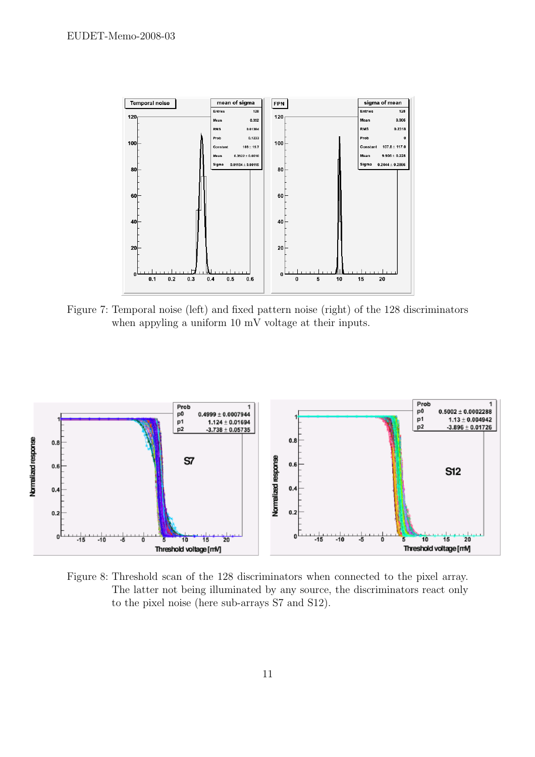

Figure 7: Temporal noise (left) and fixed pattern noise (right) of the 128 discriminators when appyling a uniform 10 mV voltage at their inputs.



Figure 8: Threshold scan of the 128 discriminators when connected to the pixel array. The latter not being illuminated by any source, the discriminators react only to the pixel noise (here sub-arrays S7 and S12).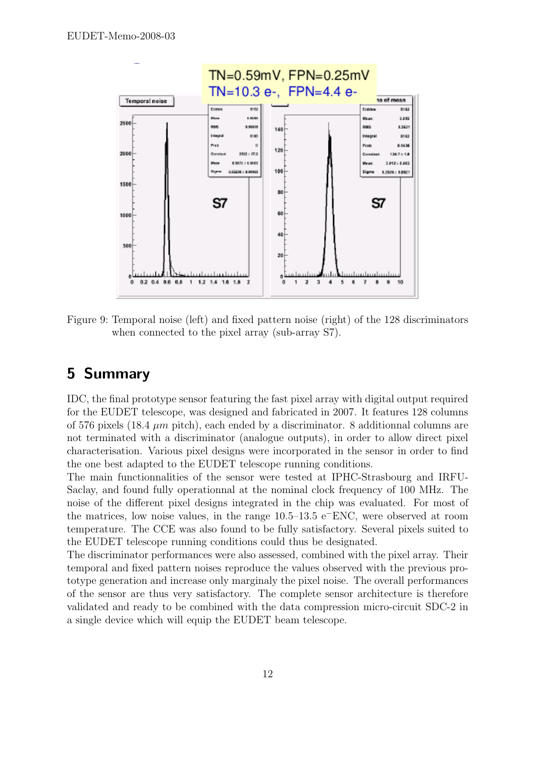

Figure 9: Temporal noise (left) and fixed pattern noise (right) of the 128 discriminators when connected to the pixel array (sub-array S7).

### 5 Summary

IDC, the final prototype sensor featuring the fast pixel array with digital output required for the EUDET telescope, was designed and fabricated in 2007. It features 128 columns of 576 pixels (18.4  $\mu$ m pitch), each ended by a discriminator. 8 additionnal columns are not terminated with a discriminator (analogue outputs), in order to allow direct pixel characterisation. Various pixel designs were incorporated in the sensor in order to find the one best adapted to the EUDET telescope running conditions.

The main functionnalities of the sensor were tested at IPHC-Strasbourg and IRFU-Saclay, and found fully operationnal at the nominal clock frequency of 100 MHz. The noise of the different pixel designs integrated in the chip was evaluated. For most of the matrices, low noise values, in the range 10.5–13.5 e<sup>−</sup>ENC, were observed at room temperature. The CCE was also found to be fully satisfactory. Several pixels suited to the EUDET telescope running conditions could thus be designated.

The discriminator performances were also assessed, combined with the pixel array. Their temporal and fixed pattern noises reproduce the values observed with the previous prototype generation and increase only marginaly the pixel noise. The overall performances of the sensor are thus very satisfactory. The complete sensor architecture is therefore validated and ready to be combined with the data compression micro-circuit SDC-2 in a single device which will equip the EUDET beam telescope.